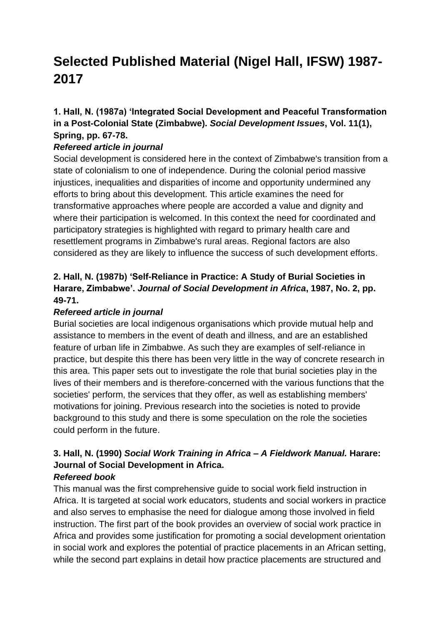# **Selected Published Material (Nigel Hall, IFSW) 1987- 2017**

## **1. Hall, N. (1987a) 'Integrated Social Development and Peaceful Transformation in a Post-Colonial State (Zimbabwe).** *Social Development Issues***, Vol. 11(1), Spring, pp. 67-78.**

#### *Refereed article in journal*

Social development is considered here in the context of Zimbabwe's transition from a state of colonialism to one of independence. During the colonial period massive injustices, inequalities and disparities of income and opportunity undermined any efforts to bring about this development. This article examines the need for transformative approaches where people are accorded a value and dignity and where their participation is welcomed. In this context the need for coordinated and participatory strategies is highlighted with regard to primary health care and resettlement programs in Zimbabwe's rural areas. Regional factors are also considered as they are likely to influence the success of such development efforts.

## **2. Hall, N. (1987b) 'Self-Reliance in Practice: A Study of Burial Societies in Harare, Zimbabwe'.** *Journal of Social Development in Africa***, 1987, No. 2, pp. 49-71.**

#### *Refereed article in journal*

Burial societies are local indigenous organisations which provide mutual help and assistance to members in the event of death and illness, and are an established feature of urban life in Zimbabwe. As such they are examples of self-reliance in practice, but despite this there has been very little in the way of concrete research in this area. This paper sets out to investigate the role that burial societies play in the lives of their members and is therefore-concerned with the various functions that the societies' perform, the services that they offer, as well as establishing members' motivations for joining. Previous research into the societies is noted to provide background to this study and there is some speculation on the role the societies could perform in the future.

## **3. Hall, N. (1990)** *Social Work Training in Africa – A Fieldwork Manual.* **Harare: Journal of Social Development in Africa.**

## *Refereed book*

This manual was the first comprehensive guide to social work field instruction in Africa. It is targeted at social work educators, students and social workers in practice and also serves to emphasise the need for dialogue among those involved in field instruction. The first part of the book provides an overview of social work practice in Africa and provides some justification for promoting a social development orientation in social work and explores the potential of practice placements in an African setting, while the second part explains in detail how practice placements are structured and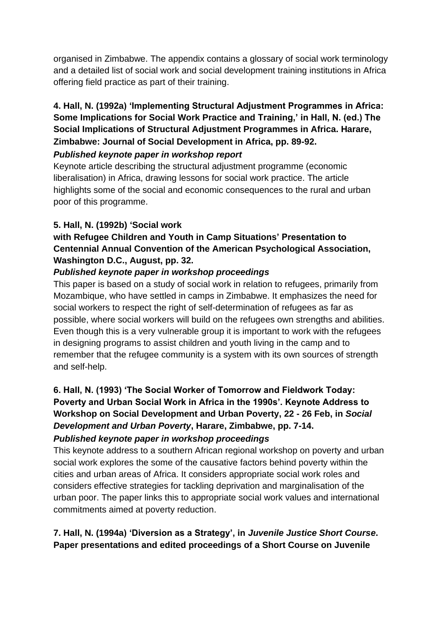organised in Zimbabwe. The appendix contains a glossary of social work terminology and a detailed list of social work and social development training institutions in Africa offering field practice as part of their training.

## **4. Hall, N. (1992a) 'Implementing Structural Adjustment Programmes in Africa: Some Implications for Social Work Practice and Training,' in Hall, N. (ed.) The Social Implications of Structural Adjustment Programmes in Africa. Harare, Zimbabwe: Journal of Social Development in Africa, pp. 89-92.** *Published keynote paper in workshop report*

Keynote article describing the structural adjustment programme (economic

liberalisation) in Africa, drawing lessons for social work practice. The article highlights some of the social and economic consequences to the rural and urban poor of this programme.

## **5. Hall, N. (1992b) 'Social work**

## **with Refugee Children and Youth in Camp Situations' Presentation to Centennial Annual Convention of the American Psychological Association, Washington D.C., August, pp. 32.**

#### *Published keynote paper in workshop proceedings*

This paper is based on a study of social work in relation to refugees, primarily from Mozambique, who have settled in camps in Zimbabwe. It emphasizes the need for social workers to respect the right of self-determination of refugees as far as possible, where social workers will build on the refugees own strengths and abilities. Even though this is a very vulnerable group it is important to work with the refugees in designing programs to assist children and youth living in the camp and to remember that the refugee community is a system with its own sources of strength and self-help.

**6. Hall, N. (1993) 'The Social Worker of Tomorrow and Fieldwork Today: Poverty and Urban Social Work in Africa in the 1990s'. Keynote Address to Workshop on Social Development and Urban Poverty, 22 - 26 Feb, in** *Social Development and Urban Poverty***, Harare, Zimbabwe, pp. 7-14.** *Published keynote paper in workshop proceedings*

This keynote address to a southern African regional workshop on poverty and urban social work explores the some of the causative factors behind poverty within the cities and urban areas of Africa. It considers appropriate social work roles and considers effective strategies for tackling deprivation and marginalisation of the urban poor. The paper links this to appropriate social work values and international commitments aimed at poverty reduction.

**7. Hall, N. (1994a) 'Diversion as a Strategy', in** *Juvenile Justice Short Course***. Paper presentations and edited proceedings of a Short Course on Juvenile**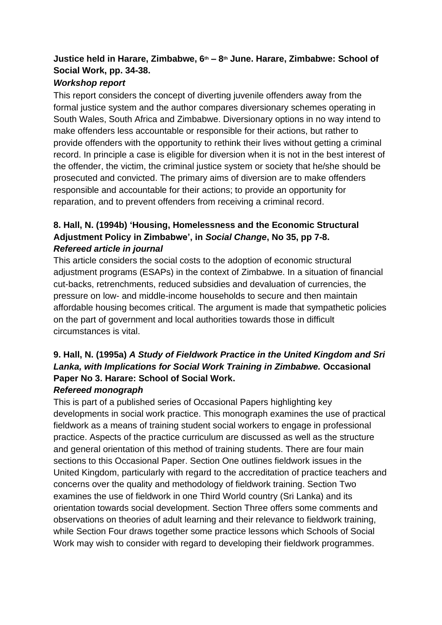## **Justice held in Harare, Zimbabwe, 6th – 8th June. Harare, Zimbabwe: School of Social Work, pp. 34-38.**

#### *Workshop report*

This report considers the concept of diverting juvenile offenders away from the formal justice system and the author compares diversionary schemes operating in South Wales, South Africa and Zimbabwe. Diversionary options in no way intend to make offenders less accountable or responsible for their actions, but rather to provide offenders with the opportunity to rethink their lives without getting a criminal record. In principle a case is eligible for diversion when it is not in the best interest of the offender, the victim, the criminal justice system or society that he/she should be prosecuted and convicted. The primary aims of diversion are to make offenders responsible and accountable for their actions; to provide an opportunity for reparation, and to prevent offenders from receiving a criminal record.

## **8. Hall, N. (1994b) 'Housing, Homelessness and the Economic Structural Adjustment Policy in Zimbabwe', in** *Social Change***, No 35, pp 7-8.** *Refereed article in journal*

This article considers the social costs to the adoption of economic structural adjustment programs (ESAPs) in the context of Zimbabwe. In a situation of financial cut-backs, retrenchments, reduced subsidies and devaluation of currencies, the pressure on low- and middle-income households to secure and then maintain affordable housing becomes critical. The argument is made that sympathetic policies on the part of government and local authorities towards those in difficult circumstances is vital.

## **9. Hall, N. (1995a)** *A Study of Fieldwork Practice in the United Kingdom and Sri Lanka, with Implications for Social Work Training in Zimbabwe.* **Occasional Paper No 3. Harare: School of Social Work.**

## *Refereed monograph*

This is part of a published series of Occasional Papers highlighting key developments in social work practice. This monograph examines the use of practical fieldwork as a means of training student social workers to engage in professional practice. Aspects of the practice curriculum are discussed as well as the structure and general orientation of this method of training students. There are four main sections to this Occasional Paper. Section One outlines fieldwork issues in the United Kingdom, particularly with regard to the accreditation of practice teachers and concerns over the quality and methodology of fieldwork training. Section Two examines the use of fieldwork in one Third World country (Sri Lanka) and its orientation towards social development. Section Three offers some comments and observations on theories of adult learning and their relevance to fieldwork training, while Section Four draws together some practice lessons which Schools of Social Work may wish to consider with regard to developing their fieldwork programmes.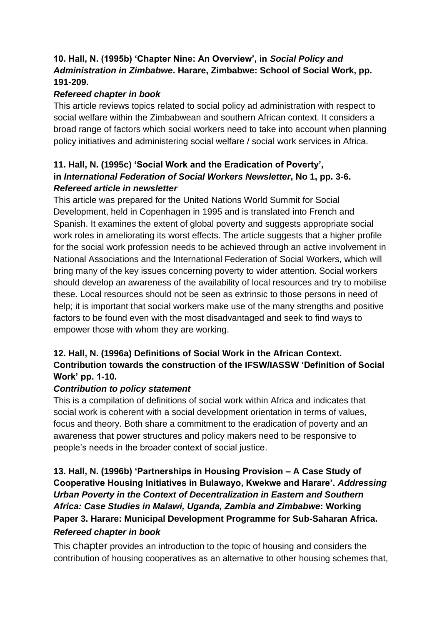### **10. Hall, N. (1995b) 'Chapter Nine: An Overview', in** *Social Policy and Administration in Zimbabwe***. Harare, Zimbabwe: School of Social Work, pp. 191-209.**

#### *Refereed chapter in book*

This article reviews topics related to social policy ad administration with respect to social welfare within the Zimbabwean and southern African context. It considers a broad range of factors which social workers need to take into account when planning policy initiatives and administering social welfare / social work services in Africa.

### **11. Hall, N. (1995c) 'Social Work and the Eradication of Poverty', in** *International Federation of Social Workers Newsletter***, No 1, pp. 3-6.** *Refereed article in newsletter*

This article was prepared for the United Nations World Summit for Social Development, held in Copenhagen in 1995 and is translated into French and Spanish. It examines the extent of global poverty and suggests appropriate social work roles in ameliorating its worst effects. The article suggests that a higher profile for the social work profession needs to be achieved through an active involvement in National Associations and the International Federation of Social Workers, which will bring many of the key issues concerning poverty to wider attention. Social workers should develop an awareness of the availability of local resources and try to mobilise these. Local resources should not be seen as extrinsic to those persons in need of help; it is important that social workers make use of the many strengths and positive factors to be found even with the most disadvantaged and seek to find ways to empower those with whom they are working.

### **12. Hall, N. (1996a) Definitions of Social Work in the African Context. Contribution towards the construction of the IFSW/IASSW 'Definition of Social Work' pp. 1-10.**

## *Contribution to policy statement*

This is a compilation of definitions of social work within Africa and indicates that social work is coherent with a social development orientation in terms of values, focus and theory. Both share a commitment to the eradication of poverty and an awareness that power structures and policy makers need to be responsive to people's needs in the broader context of social justice.

## **13. Hall, N. (1996b) 'Partnerships in Housing Provision – A Case Study of Cooperative Housing Initiatives in Bulawayo, Kwekwe and Harare'.** *Addressing Urban Poverty in the Context of Decentralization in Eastern and Southern Africa: Case Studies in Malawi, Uganda, Zambia and Zimbabwe***: Working Paper 3. Harare: Municipal Development Programme for Sub-Saharan Africa.** *Refereed chapter in book*

This chapter provides an introduction to the topic of housing and considers the contribution of housing cooperatives as an alternative to other housing schemes that,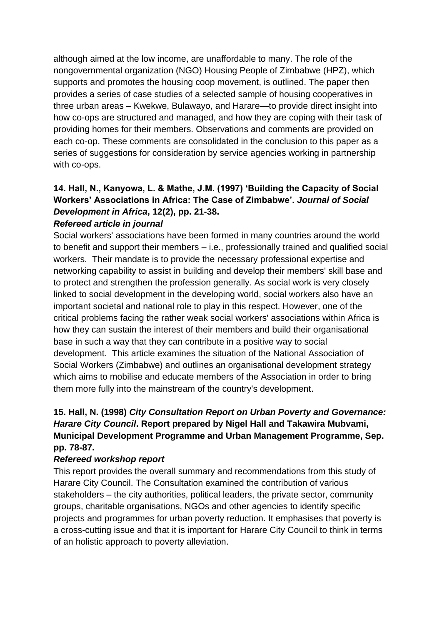although aimed at the low income, are unaffordable to many. The role of the nongovernmental organization (NGO) Housing People of Zimbabwe (HPZ), which supports and promotes the housing coop movement, is outlined. The paper then provides a series of case studies of a selected sample of housing cooperatives in three urban areas – Kwekwe, Bulawayo, and Harare—to provide direct insight into how co-ops are structured and managed, and how they are coping with their task of providing homes for their members. Observations and comments are provided on each co-op. These comments are consolidated in the conclusion to this paper as a series of suggestions for consideration by service agencies working in partnership with co-ops.

## **14. Hall, N., Kanyowa, L. & Mathe, J.M. (1997) 'Building the Capacity of Social Workers' Associations in Africa: The Case of Zimbabwe'.** *Journal of Social Development in Africa***, 12(2), pp. 21-38.**

#### *Refereed article in journal*

Social workers' associations have been formed in many countries around the world to benefit and support their members – i.e., professionally trained and qualified social workers. Their mandate is to provide the necessary professional expertise and networking capability to assist in building and develop their members' skill base and to protect and strengthen the profession generally. As social work is very closely linked to social development in the developing world, social workers also have an important societal and national role to play in this respect. However, one of the critical problems facing the rather weak social workers' associations within Africa is how they can sustain the interest of their members and build their organisational base in such a way that they can contribute in a positive way to social development. This article examines the situation of the National Association of Social Workers (Zimbabwe) and outlines an organisational development strategy which aims to mobilise and educate members of the Association in order to bring them more fully into the mainstream of the country's development.

## **15. Hall, N. (1998)** *City Consultation Report on Urban Poverty and Governance: Harare City Council***. Report prepared by Nigel Hall and Takawira Mubvami, Municipal Development Programme and Urban Management Programme, Sep. pp. 78-87.**

#### *Refereed workshop report*

This report provides the overall summary and recommendations from this study of Harare City Council. The Consultation examined the contribution of various stakeholders – the city authorities, political leaders, the private sector, community groups, charitable organisations, NGOs and other agencies to identify specific projects and programmes for urban poverty reduction. It emphasises that poverty is a cross-cutting issue and that it is important for Harare City Council to think in terms of an holistic approach to poverty alleviation.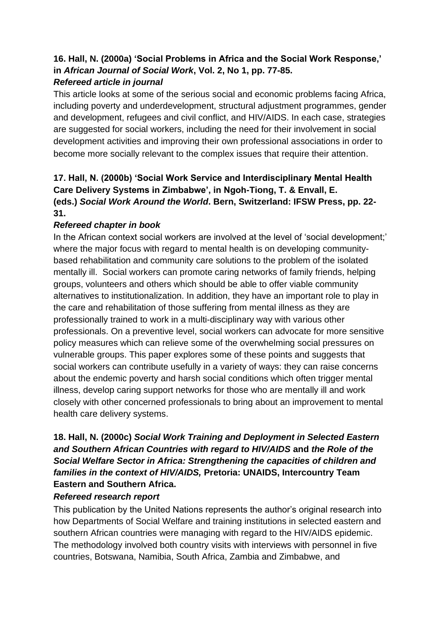## **16. Hall, N. (2000a) 'Social Problems in Africa and the Social Work Response,' in** *African Journal of Social Work***, Vol. 2, No 1, pp. 77-85.** *Refereed article in journal*

This article looks at some of the serious social and economic problems facing Africa, including poverty and underdevelopment, structural adjustment programmes, gender and development, refugees and civil conflict, and HIV/AIDS. In each case, strategies are suggested for social workers, including the need for their involvement in social development activities and improving their own professional associations in order to become more socially relevant to the complex issues that require their attention.

## **17. Hall, N. (2000b) 'Social Work Service and Interdisciplinary Mental Health Care Delivery Systems in Zimbabwe', in Ngoh-Tiong, T. & Envall, E. (eds.)** *Social Work Around the World***. Bern, Switzerland: IFSW Press, pp. 22- 31.**

#### *Refereed chapter in book*

In the African context social workers are involved at the level of 'social development;' where the major focus with regard to mental health is on developing communitybased rehabilitation and community care solutions to the problem of the isolated mentally ill. Social workers can promote caring networks of family friends, helping groups, volunteers and others which should be able to offer viable community alternatives to institutionalization. In addition, they have an important role to play in the care and rehabilitation of those suffering from mental illness as they are professionally trained to work in a multi-disciplinary way with various other professionals. On a preventive level, social workers can advocate for more sensitive policy measures which can relieve some of the overwhelming social pressures on vulnerable groups. This paper explores some of these points and suggests that social workers can contribute usefully in a variety of ways: they can raise concerns about the endemic poverty and harsh social conditions which often trigger mental illness, develop caring support networks for those who are mentally ill and work closely with other concerned professionals to bring about an improvement to mental health care delivery systems.

## **18. Hall, N. (2000c)** *Social Work Training and Deployment in Selected Eastern and Southern African Countries with regard to HIV/AIDS* **and** *the Role of the Social Welfare Sector in Africa: Strengthening the capacities of children and families in the context of HIV/AIDS,* **Pretoria: UNAIDS, Intercountry Team Eastern and Southern Africa.**

#### *Refereed research report*

This publication by the United Nations represents the author's original research into how Departments of Social Welfare and training institutions in selected eastern and southern African countries were managing with regard to the HIV/AIDS epidemic. The methodology involved both country visits with interviews with personnel in five countries, Botswana, Namibia, South Africa, Zambia and Zimbabwe, and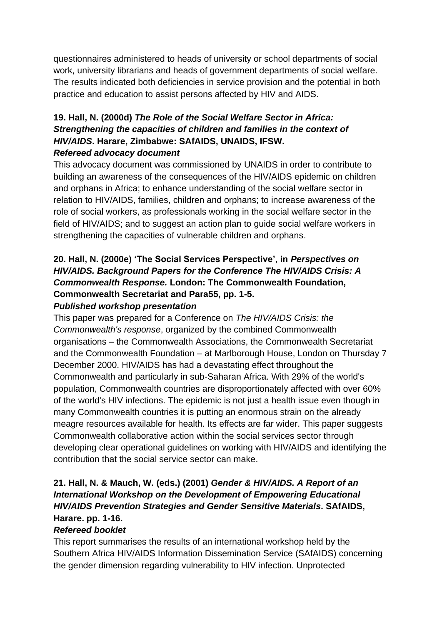questionnaires administered to heads of university or school departments of social work, university librarians and heads of government departments of social welfare. The results indicated both deficiencies in service provision and the potential in both practice and education to assist persons affected by HIV and AIDS.

#### **19. Hall, N. (2000d)** *The Role of the Social Welfare Sector in Africa: Strengthening the capacities of children and families in the context of HIV/AIDS***. Harare, Zimbabwe: SAfAIDS, UNAIDS, IFSW.** *Refereed advocacy document*

This advocacy document was commissioned by UNAIDS in order to contribute to building an awareness of the consequences of the HIV/AIDS epidemic on children and orphans in Africa; to enhance understanding of the social welfare sector in relation to HIV/AIDS, families, children and orphans; to increase awareness of the role of social workers, as professionals working in the social welfare sector in the field of HIV/AIDS; and to suggest an action plan to guide social welfare workers in strengthening the capacities of vulnerable children and orphans.

#### **20. Hall, N. (2000e) 'The Social Services Perspective', in** *Perspectives on HIV/AIDS. Background Papers for the Conference The HIV/AIDS Crisis: A Commonwealth Response.* **London: The Commonwealth Foundation, Commonwealth Secretariat and Para55, pp. 1-5.** *Published workshop presentation*

This paper was prepared for a Conference on *The HIV/AIDS Crisis: the Commonwealth's response*, organized by the combined Commonwealth organisations – the Commonwealth Associations, the Commonwealth Secretariat and the Commonwealth Foundation – at Marlborough House, London on Thursday 7 December 2000. HIV/AIDS has had a devastating effect throughout the Commonwealth and particularly in sub-Saharan Africa. With 29% of the world's population, Commonwealth countries are disproportionately affected with over 60% of the world's HIV infections. The epidemic is not just a health issue even though in many Commonwealth countries it is putting an enormous strain on the already meagre resources available for health. Its effects are far wider. This paper suggests Commonwealth collaborative action within the social services sector through developing clear operational guidelines on working with HIV/AIDS and identifying the contribution that the social service sector can make.

## **21. Hall, N. & Mauch, W. (eds.) (2001)** *Gender & HIV/AIDS. A Report of an International Workshop on the Development of Empowering Educational HIV/AIDS Prevention Strategies and Gender Sensitive Materials***. SAfAIDS, Harare. pp. 1-16.**

## *Refereed booklet*

This report summarises the results of an international workshop held by the Southern Africa HIV/AIDS Information Dissemination Service (SAfAIDS) concerning the gender dimension regarding vulnerability to HIV infection. Unprotected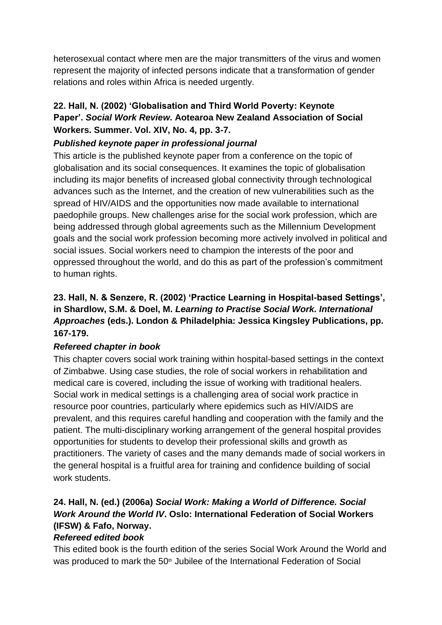heterosexual contact where men are the major transmitters of the virus and women represent the majority of infected persons indicate that a transformation of gender relations and roles within Africa is needed urgently.

## **22. Hall, N. (2002) 'Globalisation and Third World Poverty: Keynote Paper'.** *Social Work Review***. Aotearoa New Zealand Association of Social Workers. Summer. Vol. XIV, No. 4, pp. 3-7.**

## *Published keynote paper in professional journal*

This article is the published keynote paper from a conference on the topic of globalisation and its social consequences. It examines the topic of globalisation including its major benefits of increased global connectivity through technological advances such as the Internet, and the creation of new vulnerabilities such as the spread of HIV/AIDS and the opportunities now made available to international paedophile groups. New challenges arise for the social work profession, which are being addressed through global agreements such as the Millennium Development goals and the social work profession becoming more actively involved in political and social issues. Social workers need to champion the interests of the poor and oppressed throughout the world, and do this as part of the profession's commitment to human rights.

## **23. Hall, N. & Senzere, R. (2002) 'Practice Learning in Hospital-based Settings', in Shardlow, S.M. & Doel, M.** *Learning to Practise Social Work. International Approaches* **(eds.). London & Philadelphia: Jessica Kingsley Publications, pp. 167-179.**

#### *Refereed chapter in book*

This chapter covers social work training within hospital-based settings in the context of Zimbabwe. Using case studies, the role of social workers in rehabilitation and medical care is covered, including the issue of working with traditional healers. Social work in medical settings is a challenging area of social work practice in resource poor countries, particularly where epidemics such as HIV/AIDS are prevalent, and this requires careful handling and cooperation with the family and the patient. The multi-disciplinary working arrangement of the general hospital provides opportunities for students to develop their professional skills and growth as practitioners. The variety of cases and the many demands made of social workers in the general hospital is a fruitful area for training and confidence building of social work students.

## **24. Hall, N. (ed.) (2006a)** *Social Work: Making a World of Difference. Social Work Around the World IV***. Oslo: International Federation of Social Workers (IFSW) & Fafo, Norway.**

## *Refereed edited book*

This edited book is the fourth edition of the series Social Work Around the World and was produced to mark the 50<sup>th</sup> Jubilee of the International Federation of Social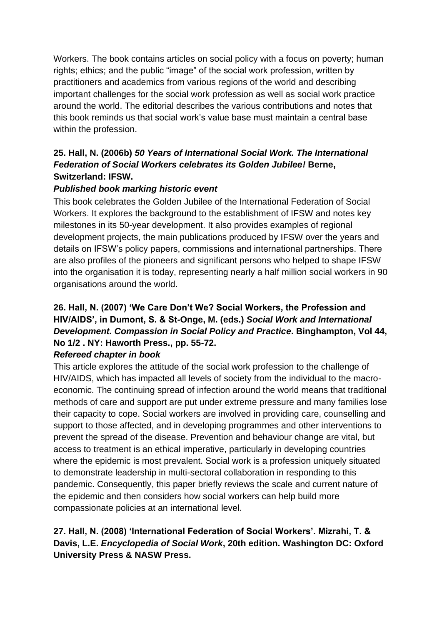Workers. The book contains articles on social policy with a focus on poverty; human rights; ethics; and the public "image" of the social work profession, written by practitioners and academics from various regions of the world and describing important challenges for the social work profession as well as social work practice around the world. The editorial describes the various contributions and notes that this book reminds us that social work's value base must maintain a central base within the profession.

## **25. Hall, N. (2006b)** *50 Years of International Social Work. The International Federation of Social Workers celebrates its Golden Jubilee!* **Berne, Switzerland: IFSW.**

#### *Published book marking historic event*

This book celebrates the Golden Jubilee of the International Federation of Social Workers. It explores the background to the establishment of IFSW and notes key milestones in its 50-year development. It also provides examples of regional development projects, the main publications produced by IFSW over the years and details on IFSW's policy papers, commissions and international partnerships. There are also profiles of the pioneers and significant persons who helped to shape IFSW into the organisation it is today, representing nearly a half million social workers in 90 organisations around the world.

## **26. Hall, N. (2007) 'We Care Don't We? Social Workers, the Profession and HIV/AIDS', in Dumont, S. & St-Onge, M. (eds.)** *Social Work and International Development. Compassion in Social Policy and Practice***. Binghampton, Vol 44, No 1/2 . NY: Haworth Press., pp. 55-72.**

#### *Refereed chapter in book*

This article explores the attitude of the social work profession to the challenge of HIV/AIDS, which has impacted all levels of society from the individual to the macroeconomic. The continuing spread of infection around the world means that traditional methods of care and support are put under extreme pressure and many families lose their capacity to cope. Social workers are involved in providing care, counselling and support to those affected, and in developing programmes and other interventions to prevent the spread of the disease. Prevention and behaviour change are vital, but access to treatment is an ethical imperative, particularly in developing countries where the epidemic is most prevalent. Social work is a profession uniquely situated to demonstrate leadership in multi-sectoral collaboration in responding to this pandemic. Consequently, this paper briefly reviews the scale and current nature of the epidemic and then considers how social workers can help build more compassionate policies at an international level.

### **27. Hall, N. (2008) 'International Federation of Social Workers'. Mizrahi, T. & Davis, L.E.** *Encyclopedia of Social Work***, 20th edition. Washington DC: Oxford University Press & NASW Press.**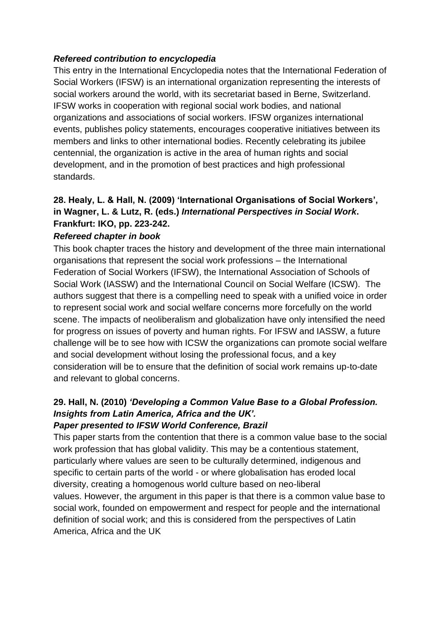#### *Refereed contribution to encyclopedia*

This entry in the International Encyclopedia notes that the International Federation of Social Workers (IFSW) is an international organization representing the interests of social workers around the world, with its secretariat based in Berne, Switzerland. IFSW works in cooperation with regional social work bodies, and national organizations and associations of social workers. IFSW organizes international events, publishes policy statements, encourages cooperative initiatives between its members and links to other international bodies. Recently celebrating its jubilee centennial, the organization is active in the area of human rights and social development, and in the promotion of best practices and high professional standards.

## **28. Healy, L. & Hall, N. (2009) 'International Organisations of Social Workers', in Wagner, L. & Lutz, R. (eds.)** *International Perspectives in Social Work***. Frankfurt: IKO, pp. 223-242.**

#### *Refereed chapter in book*

This book chapter traces the history and development of the three main international organisations that represent the social work professions – the International Federation of Social Workers (IFSW), the International Association of Schools of Social Work (IASSW) and the International Council on Social Welfare (ICSW). The authors suggest that there is a compelling need to speak with a unified voice in order to represent social work and social welfare concerns more forcefully on the world scene. The impacts of neoliberalism and globalization have only intensified the need for progress on issues of poverty and human rights. For IFSW and IASSW, a future challenge will be to see how with ICSW the organizations can promote social welfare and social development without losing the professional focus, and a key consideration will be to ensure that the definition of social work remains up-to-date and relevant to global concerns.

#### **29. Hall, N. (2010)** *'Developing a Common Value Base to a Global Profession. Insights from Latin America, Africa and the UK'. Paper presented to IFSW World Conference, Brazil*

This paper starts from the contention that there is a common value base to the social work profession that has global validity. This may be a contentious statement, particularly where values are seen to be culturally determined, indigenous and specific to certain parts of the world - or where globalisation has eroded local diversity, creating a homogenous world culture based on neo-liberal values. However, the argument in this paper is that there is a common value base to social work, founded on empowerment and respect for people and the international definition of social work; and this is considered from the perspectives of Latin America, Africa and the UK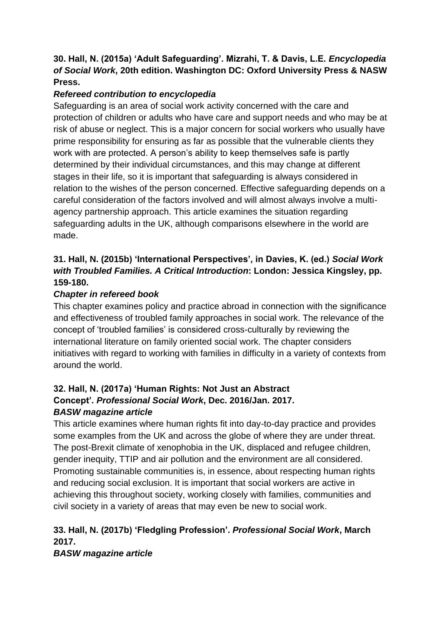#### **30. Hall, N. (2015a) 'Adult Safeguarding'. Mizrahi, T. & Davis, L.E.** *Encyclopedia of Social Work***, 20th edition. Washington DC: Oxford University Press & NASW Press.**

## *Refereed contribution to encyclopedia*

Safeguarding is an area of social work activity concerned with the care and protection of children or adults who have care and support needs and who may be at risk of abuse or neglect. This is a major concern for social workers who usually have prime responsibility for ensuring as far as possible that the vulnerable clients they work with are protected. A person's ability to keep themselves safe is partly determined by their individual circumstances, and this may change at different stages in their life, so it is important that safeguarding is always considered in relation to the wishes of the person concerned. Effective safeguarding depends on a careful consideration of the factors involved and will almost always involve a multiagency partnership approach. This article examines the situation regarding safeguarding adults in the UK, although comparisons elsewhere in the world are made.

## **31. Hall, N. (2015b) 'International Perspectives', in Davies, K. (ed.)** *Social Work with Troubled Families. A Critical Introduction***: London: Jessica Kingsley, pp. 159-180.**

#### *Chapter in refereed book*

This chapter examines policy and practice abroad in connection with the significance and effectiveness of troubled family approaches in social work. The relevance of the concept of 'troubled families' is considered cross-culturally by reviewing the international literature on family oriented social work. The chapter considers initiatives with regard to working with families in difficulty in a variety of contexts from around the world.

#### **32. Hall, N. (2017a) 'Human Rights: Not Just an Abstract Concept'.** *Professional Social Work***, Dec. 2016/Jan. 2017.** *BASW magazine article*

This article examines where human rights fit into day-to-day practice and provides some examples from the UK and across the globe of where they are under threat. The post-Brexit climate of xenophobia in the UK, displaced and refugee children, gender inequity, TTIP and air pollution and the environment are all considered. Promoting sustainable communities is, in essence, about respecting human rights and reducing social exclusion. It is important that social workers are active in achieving this throughout society, working closely with families, communities and civil society in a variety of areas that may even be new to social work.

## **33. Hall, N. (2017b) 'Fledgling Profession'.** *Professional Social Work***, March 2017.**

*BASW magazine article*